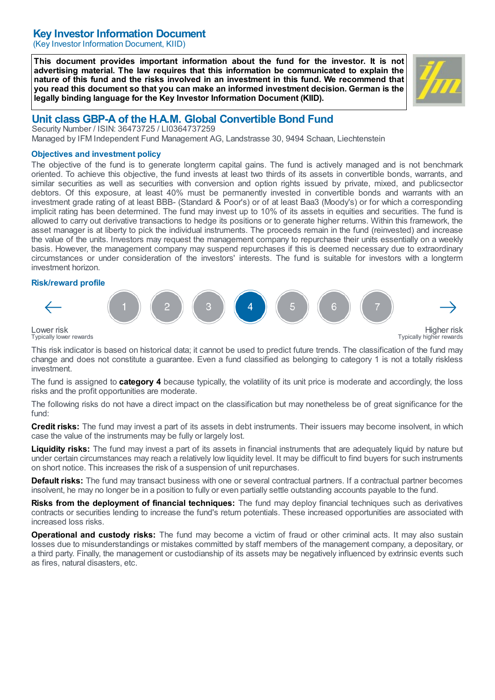# Key Investor Information Document

(Key Investor Information Document, KIID)

This document provides important information about the fund for the investor. It is not advertising material. The law requires that this information be communicated to explain the nature of this fund and the risks involved in an investment in this fund. We recommend that you read this document so that you can make an informed investment decision. German is the legally binding language for the Key Investor Information Document (KIID).



# Unit class GBP-A of the H.A.M. Global Convertible Bond Fund

Security Number / ISIN: 36473725 / LI0364737259 Managed by IFM Independent Fund Management AG, Landstrasse 30, 9494 Schaan, Liechtenstein

#### Objectives and investment policy

The objective of the fund is to generate longterm capital gains. The fund is actively managed and is not benchmark oriented. To achieve this objective, the fund invests at least two thirds of its assets in convertible bonds, warrants, and similar securities as well as securities with conversion and option rights issued by private, mixed, and publicsector debtors. Of this exposure, at least 40% must be permanently invested in convertible bonds and warrants with an investment grade rating of at least BBB- (Standard & Poor's) or of at least Baa3 (Moody's) or for which a corresponding implicit rating has been determined. The fund may invest up to 10% of its assets in equities and securities. The fund is allowed to carry out derivative transactions to hedge its positions or to generate higher returns. Within this framework, the asset manager is at liberty to pick the individual instruments. The proceeds remain in the fund (reinvested) and increase the value of the units. Investors may request the management company to repurchase their units essentially on a weekly basis. However, the management company may suspend repurchases if this is deemed necessary due to extraordinary circumstances or under consideration of the investors' interests. The fund is suitable for investors with a longterm investment horizon.

### Risk/reward profile



Lower risk Typically lower rewards

This risk indicator is based on historical data; it cannot be used to predict future trends. The classification of the fund may change and does not constitute a guarantee. Even a fund classified as belonging to category 1 is not a totally riskless investment.

The fund is assigned to **category 4** because typically, the volatility of its unit price is moderate and accordingly, the loss risks and the profit opportunities are moderate.

The following risks do not have a direct impact on the classification but may nonetheless be of great significance for the fund:

**Credit risks:** The fund may invest a part of its assets in debt instruments. Their issuers may become insolvent, in which case the value of the instruments may be fully or largely lost.

Liquidity risks: The fund may invest a part of its assets in financial instruments that are adequately liquid by nature but under certain circumstances may reach a relatively low liquidity level. It may be difficult to find buyers for such instruments on short notice. This increases the risk of a suspension of unit repurchases.

Default risks: The fund may transact business with one or several contractual partners. If a contractual partner becomes insolvent, he may no longer be in a position to fully or even partially settle outstanding accounts payable to the fund.

Risks from the deployment of financial techniques: The fund may deploy financial techniques such as derivatives contracts or securities lending to increase the fund's return potentials. These increased opportunities are associated with increased loss risks.

Operational and custody risks: The fund may become a victim of fraud or other criminal acts. It may also sustain losses due to misunderstandings or mistakes committed by staff members of the management company, a depositary, or a third party. Finally, the management or custodianship of its assets may be negatively influenced by extrinsic events such as fires, natural disasters, etc.

Higher risk Typically higher rewards